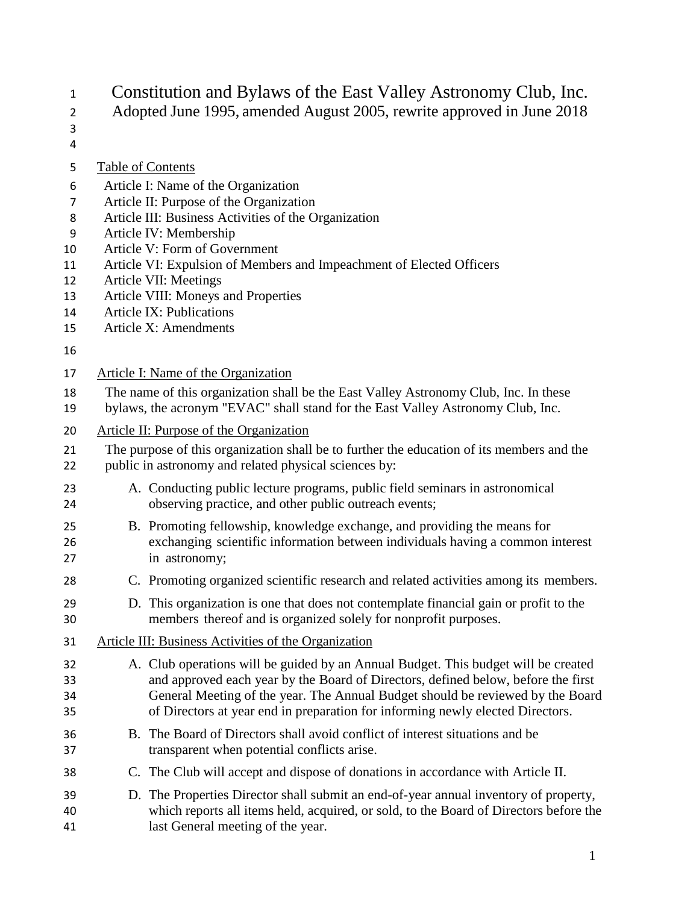Constitution and Bylaws of the East Valley Astronomy Club, Inc.

- Adopted June 1995, amended August 2005, rewrite approved in June 2018
- 

Table of Contents

- Article I: Name of the Organization
- Article II: Purpose of the Organization
- Article III: Business Activities of the Organization
- Article IV: Membership
- Article V: Form of Government
- Article VI: Expulsion of Members and Impeachment of Elected Officers
- Article VII: Meetings
- Article VIII: Moneys and Properties
- Article IX: Publications
- Article X: Amendments

- Article I: Name of the Organization
- The name of this organization shall be the East Valley Astronomy Club, Inc. In these
- bylaws, the acronym "EVAC" shall stand for the East Valley Astronomy Club, Inc.
- Article II: Purpose of the Organization
- The purpose of this organization shall be to further the education of its members and the
- public in astronomy and related physical sciences by:
- A. Conducting public lecture programs, public field seminars in astronomical observing practice, and other public outreach events;
- B. Promoting fellowship, knowledge exchange, and providing the means for exchanging scientific information between individuals having a common interest in astronomy;
- C. Promoting organized scientific research and related activities among its members.
- D. This organization is one that does not contemplate financial gain or profit to the members thereof and is organized solely for nonprofit purposes.
- Article III: Business Activities of the Organization
- A. Club operations will be guided by an Annual Budget. This budget will be created and approved each year by the Board of Directors, defined below, before the first General Meeting of the year. The Annual Budget should be reviewed by the Board of Directors at year end in preparation for informing newly elected Directors.
- B. The Board of Directors shall avoid conflict of interest situations and be transparent when potential conflicts arise.
- C. The Club will accept and dispose of donations in accordance with Article II.
- D. The Properties Director shall submit an end-of-year annual inventory of property, which reports all items held, acquired, or sold, to the Board of Directors before the last General meeting of the year.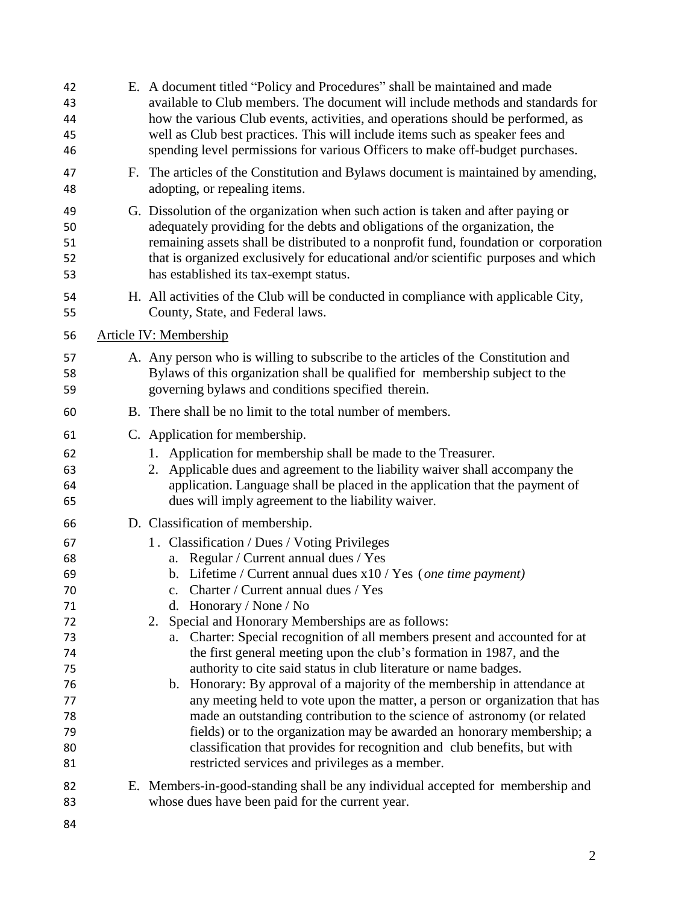| 42<br>43<br>44<br>45<br>46                                                             | E. A document titled "Policy and Procedures" shall be maintained and made<br>available to Club members. The document will include methods and standards for<br>how the various Club events, activities, and operations should be performed, as<br>well as Club best practices. This will include items such as speaker fees and<br>spending level permissions for various Officers to make off-budget purchases.                                                                                                                                                                                                                                                                                                                                                                                                                                                                                                                                                       |  |  |
|----------------------------------------------------------------------------------------|------------------------------------------------------------------------------------------------------------------------------------------------------------------------------------------------------------------------------------------------------------------------------------------------------------------------------------------------------------------------------------------------------------------------------------------------------------------------------------------------------------------------------------------------------------------------------------------------------------------------------------------------------------------------------------------------------------------------------------------------------------------------------------------------------------------------------------------------------------------------------------------------------------------------------------------------------------------------|--|--|
| 47<br>48                                                                               | F. The articles of the Constitution and Bylaws document is maintained by amending,<br>adopting, or repealing items.                                                                                                                                                                                                                                                                                                                                                                                                                                                                                                                                                                                                                                                                                                                                                                                                                                                    |  |  |
| 49<br>50<br>51<br>52<br>53                                                             | G. Dissolution of the organization when such action is taken and after paying or<br>adequately providing for the debts and obligations of the organization, the<br>remaining assets shall be distributed to a nonprofit fund, foundation or corporation<br>that is organized exclusively for educational and/or scientific purposes and which<br>has established its tax-exempt status.                                                                                                                                                                                                                                                                                                                                                                                                                                                                                                                                                                                |  |  |
| 54<br>55                                                                               | H. All activities of the Club will be conducted in compliance with applicable City,<br>County, State, and Federal laws.                                                                                                                                                                                                                                                                                                                                                                                                                                                                                                                                                                                                                                                                                                                                                                                                                                                |  |  |
| 56                                                                                     | <b>Article IV: Membership</b>                                                                                                                                                                                                                                                                                                                                                                                                                                                                                                                                                                                                                                                                                                                                                                                                                                                                                                                                          |  |  |
| 57<br>58<br>59                                                                         | A. Any person who is willing to subscribe to the articles of the Constitution and<br>Bylaws of this organization shall be qualified for membership subject to the<br>governing by laws and conditions specified therein.                                                                                                                                                                                                                                                                                                                                                                                                                                                                                                                                                                                                                                                                                                                                               |  |  |
| 60                                                                                     | B. There shall be no limit to the total number of members.                                                                                                                                                                                                                                                                                                                                                                                                                                                                                                                                                                                                                                                                                                                                                                                                                                                                                                             |  |  |
| 61                                                                                     | C. Application for membership.                                                                                                                                                                                                                                                                                                                                                                                                                                                                                                                                                                                                                                                                                                                                                                                                                                                                                                                                         |  |  |
| 62<br>63<br>64<br>65                                                                   | Application for membership shall be made to the Treasurer.<br>1.<br>Applicable dues and agreement to the liability waiver shall accompany the<br>2.<br>application. Language shall be placed in the application that the payment of<br>dues will imply agreement to the liability waiver.                                                                                                                                                                                                                                                                                                                                                                                                                                                                                                                                                                                                                                                                              |  |  |
| 66                                                                                     | D. Classification of membership.                                                                                                                                                                                                                                                                                                                                                                                                                                                                                                                                                                                                                                                                                                                                                                                                                                                                                                                                       |  |  |
| 67<br>68<br>69<br>70<br>71<br>72<br>73<br>74<br>75<br>76<br>77<br>78<br>79<br>80<br>81 | 1. Classification / Dues / Voting Privileges<br>a. Regular / Current annual dues / Yes<br>b. Lifetime / Current annual dues $x10$ / Yes (one time payment)<br>c. Charter / Current annual dues / Yes<br>d. Honorary / None / No<br>2. Special and Honorary Memberships are as follows:<br>Charter: Special recognition of all members present and accounted for at<br>a.<br>the first general meeting upon the club's formation in 1987, and the<br>authority to cite said status in club literature or name badges.<br>b. Honorary: By approval of a majority of the membership in attendance at<br>any meeting held to vote upon the matter, a person or organization that has<br>made an outstanding contribution to the science of astronomy (or related<br>fields) or to the organization may be awarded an honorary membership; a<br>classification that provides for recognition and club benefits, but with<br>restricted services and privileges as a member. |  |  |
| 82                                                                                     | E. Members-in-good-standing shall be any individual accepted for membership and                                                                                                                                                                                                                                                                                                                                                                                                                                                                                                                                                                                                                                                                                                                                                                                                                                                                                        |  |  |
| 83                                                                                     | whose dues have been paid for the current year.                                                                                                                                                                                                                                                                                                                                                                                                                                                                                                                                                                                                                                                                                                                                                                                                                                                                                                                        |  |  |
| 84                                                                                     |                                                                                                                                                                                                                                                                                                                                                                                                                                                                                                                                                                                                                                                                                                                                                                                                                                                                                                                                                                        |  |  |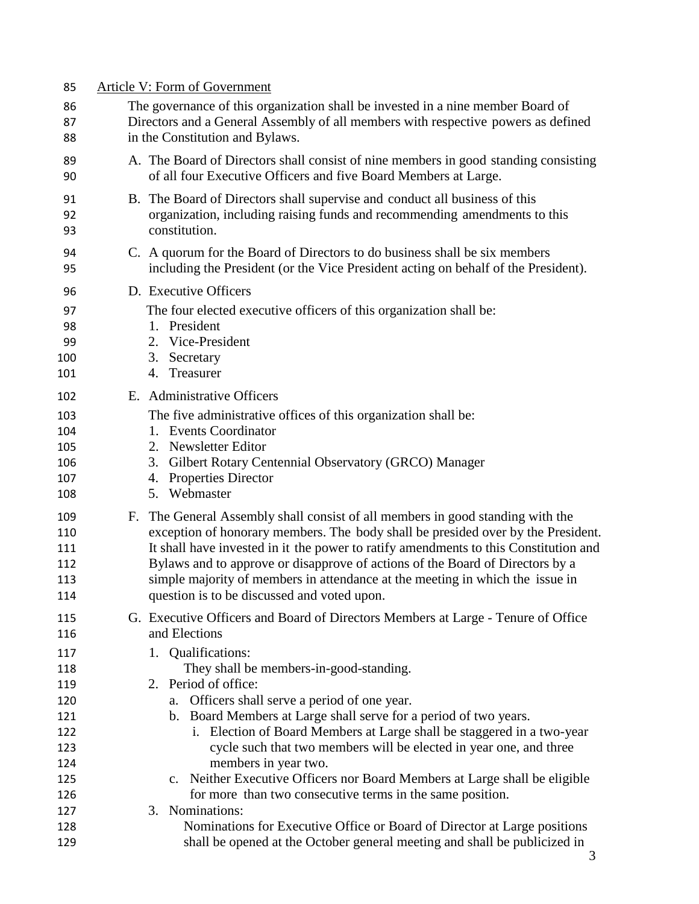| 85             | Article V: Form of Government                                                                                                                                            |
|----------------|--------------------------------------------------------------------------------------------------------------------------------------------------------------------------|
| 86             | The governance of this organization shall be invested in a nine member Board of                                                                                          |
| 87             | Directors and a General Assembly of all members with respective powers as defined                                                                                        |
| 88             | in the Constitution and Bylaws.                                                                                                                                          |
| 89<br>90       | A. The Board of Directors shall consist of nine members in good standing consisting<br>of all four Executive Officers and five Board Members at Large.                   |
| 91<br>92<br>93 | B. The Board of Directors shall supervise and conduct all business of this<br>organization, including raising funds and recommending amendments to this<br>constitution. |
| 94<br>95       | C. A quorum for the Board of Directors to do business shall be six members<br>including the President (or the Vice President acting on behalf of the President).         |
| 96             | D. Executive Officers                                                                                                                                                    |
| 97             | The four elected executive officers of this organization shall be:                                                                                                       |
| 98             | 1. President                                                                                                                                                             |
| 99             | 2. Vice-President                                                                                                                                                        |
| 100            | 3. Secretary                                                                                                                                                             |
| 101            | 4. Treasurer                                                                                                                                                             |
| 102            | E. Administrative Officers                                                                                                                                               |
| 103            | The five administrative offices of this organization shall be:                                                                                                           |
| 104            | 1. Events Coordinator                                                                                                                                                    |
| 105            | 2. Newsletter Editor                                                                                                                                                     |
| 106            | 3. Gilbert Rotary Centennial Observatory (GRCO) Manager                                                                                                                  |
| 107            | 4. Properties Director                                                                                                                                                   |
| 108            | 5. Webmaster                                                                                                                                                             |
| 109            | F. The General Assembly shall consist of all members in good standing with the                                                                                           |
| 110            | exception of honorary members. The body shall be presided over by the President.                                                                                         |
| 111            | It shall have invested in it the power to ratify amendments to this Constitution and                                                                                     |
| 112            | Bylaws and to approve or disapprove of actions of the Board of Directors by a                                                                                            |
| 113            | simple majority of members in attendance at the meeting in which the issue in                                                                                            |
| 114            | question is to be discussed and voted upon.                                                                                                                              |
| 115            | G. Executive Officers and Board of Directors Members at Large - Tenure of Office                                                                                         |
| 116            | and Elections                                                                                                                                                            |
| 117            | Qualifications:<br>1.                                                                                                                                                    |
| 118            | They shall be members-in-good-standing.                                                                                                                                  |
| 119            | 2. Period of office:                                                                                                                                                     |
| 120<br>121     | a. Officers shall serve a period of one year.<br>b. Board Members at Large shall serve for a period of two years.                                                        |
| 122            | i. Election of Board Members at Large shall be staggered in a two-year                                                                                                   |
| 123            | cycle such that two members will be elected in year one, and three                                                                                                       |
| 124            | members in year two.                                                                                                                                                     |
| 125            | c. Neither Executive Officers nor Board Members at Large shall be eligible                                                                                               |
| 126            | for more than two consecutive terms in the same position.                                                                                                                |
| 127            | 3. Nominations:                                                                                                                                                          |
| 128            | Nominations for Executive Office or Board of Director at Large positions                                                                                                 |
| 129            | shall be opened at the October general meeting and shall be publicized in                                                                                                |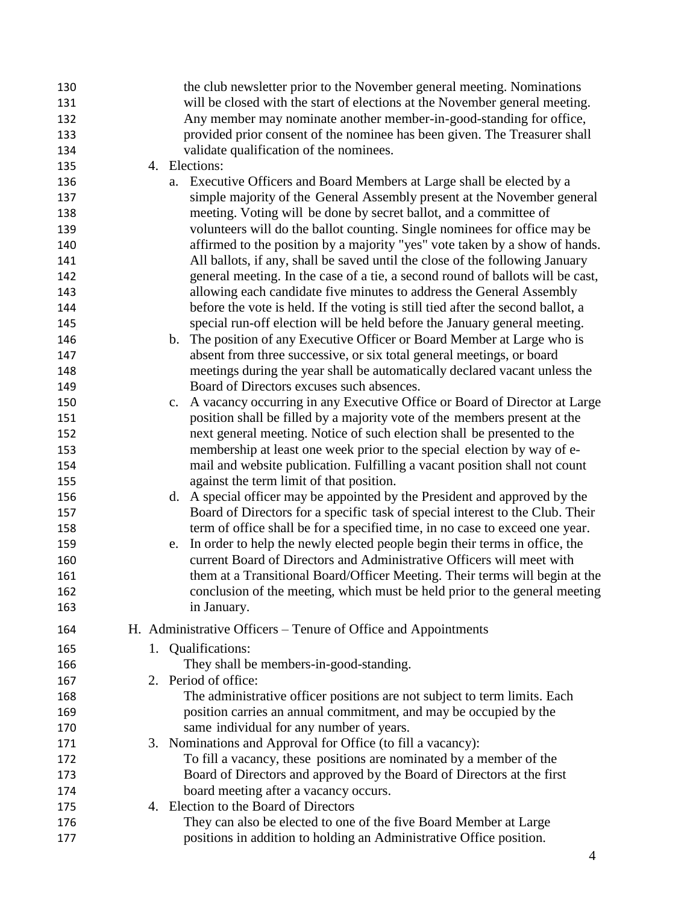| 130 | the club newsletter prior to the November general meeting. Nominations           |
|-----|----------------------------------------------------------------------------------|
| 131 | will be closed with the start of elections at the November general meeting.      |
| 132 | Any member may nominate another member-in-good-standing for office,              |
| 133 | provided prior consent of the nominee has been given. The Treasurer shall        |
| 134 | validate qualification of the nominees.                                          |
| 135 | 4. Elections:                                                                    |
| 136 | a. Executive Officers and Board Members at Large shall be elected by a           |
| 137 | simple majority of the General Assembly present at the November general          |
| 138 | meeting. Voting will be done by secret ballot, and a committee of                |
| 139 | volunteers will do the ballot counting. Single nominees for office may be        |
| 140 | affirmed to the position by a majority "yes" vote taken by a show of hands.      |
| 141 | All ballots, if any, shall be saved until the close of the following January     |
| 142 | general meeting. In the case of a tie, a second round of ballots will be cast,   |
| 143 | allowing each candidate five minutes to address the General Assembly             |
| 144 | before the vote is held. If the voting is still tied after the second ballot, a  |
| 145 | special run-off election will be held before the January general meeting.        |
| 146 | b. The position of any Executive Officer or Board Member at Large who is         |
| 147 | absent from three successive, or six total general meetings, or board            |
| 148 | meetings during the year shall be automatically declared vacant unless the       |
| 149 | Board of Directors excuses such absences.                                        |
| 150 | A vacancy occurring in any Executive Office or Board of Director at Large<br>c.  |
| 151 | position shall be filled by a majority vote of the members present at the        |
| 152 | next general meeting. Notice of such election shall be presented to the          |
| 153 | membership at least one week prior to the special election by way of e-          |
| 154 | mail and website publication. Fulfilling a vacant position shall not count       |
| 155 | against the term limit of that position.                                         |
| 156 | d. A special officer may be appointed by the President and approved by the       |
| 157 | Board of Directors for a specific task of special interest to the Club. Their    |
| 158 | term of office shall be for a specified time, in no case to exceed one year.     |
| 159 | In order to help the newly elected people begin their terms in office, the<br>e. |
| 160 | current Board of Directors and Administrative Officers will meet with            |
| 161 | them at a Transitional Board/Officer Meeting. Their terms will begin at the      |
| 162 | conclusion of the meeting, which must be held prior to the general meeting       |
| 163 | in January.                                                                      |
| 164 | H. Administrative Officers – Tenure of Office and Appointments                   |
| 165 | 1. Qualifications:                                                               |
| 166 | They shall be members-in-good-standing.                                          |
| 167 | 2. Period of office:                                                             |
| 168 | The administrative officer positions are not subject to term limits. Each        |
| 169 | position carries an annual commitment, and may be occupied by the                |
| 170 | same individual for any number of years.                                         |
| 171 | 3. Nominations and Approval for Office (to fill a vacancy):                      |
| 172 | To fill a vacancy, these positions are nominated by a member of the              |
| 173 | Board of Directors and approved by the Board of Directors at the first           |
| 174 | board meeting after a vacancy occurs.                                            |
| 175 | 4. Election to the Board of Directors                                            |
| 176 | They can also be elected to one of the five Board Member at Large                |
| 177 | positions in addition to holding an Administrative Office position.              |
|     | Δ                                                                                |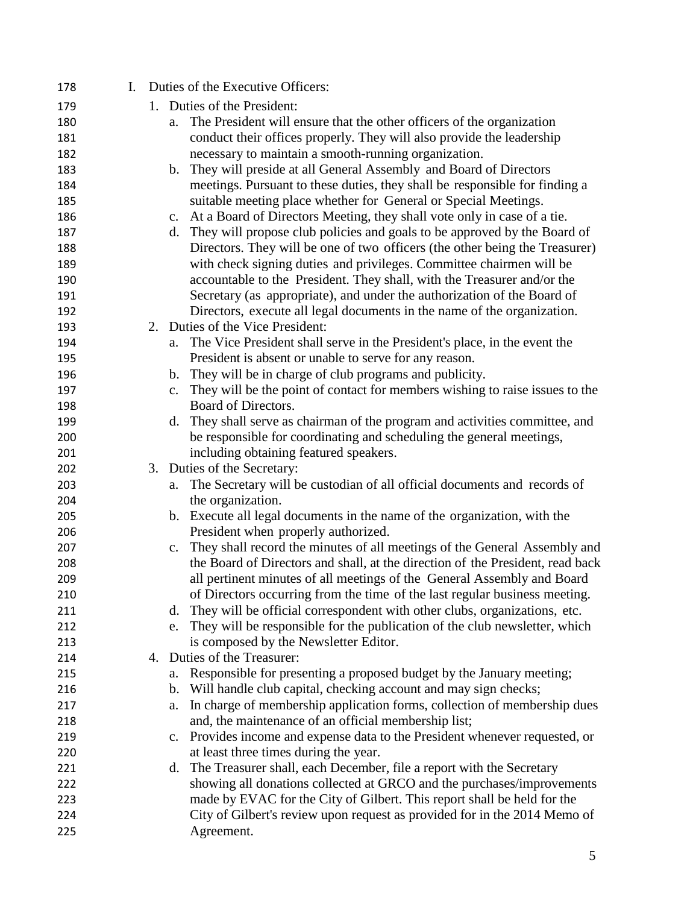| 178 | $\mathbf{I}$ . |                | Duties of the Executive Officers:                                              |
|-----|----------------|----------------|--------------------------------------------------------------------------------|
| 179 |                |                | 1. Duties of the President:                                                    |
| 180 |                | a.             | The President will ensure that the other officers of the organization          |
| 181 |                |                | conduct their offices properly. They will also provide the leadership          |
| 182 |                |                | necessary to maintain a smooth-running organization.                           |
| 183 |                | b.             | They will preside at all General Assembly and Board of Directors               |
| 184 |                |                | meetings. Pursuant to these duties, they shall be responsible for finding a    |
| 185 |                |                | suitable meeting place whether for General or Special Meetings.                |
| 186 |                | c.             | At a Board of Directors Meeting, they shall vote only in case of a tie.        |
| 187 |                | d.             | They will propose club policies and goals to be approved by the Board of       |
| 188 |                |                | Directors. They will be one of two officers (the other being the Treasurer)    |
| 189 |                |                | with check signing duties and privileges. Committee chairmen will be           |
| 190 |                |                | accountable to the President. They shall, with the Treasurer and/or the        |
| 191 |                |                | Secretary (as appropriate), and under the authorization of the Board of        |
| 192 |                |                | Directors, execute all legal documents in the name of the organization.        |
| 193 |                |                | 2. Duties of the Vice President:                                               |
| 194 |                | a.             | The Vice President shall serve in the President's place, in the event the      |
| 195 |                |                | President is absent or unable to serve for any reason.                         |
| 196 |                | b.             | They will be in charge of club programs and publicity.                         |
| 197 |                | $\mathbf{c}$ . | They will be the point of contact for members wishing to raise issues to the   |
| 198 |                |                | Board of Directors.                                                            |
| 199 |                | d.             | They shall serve as chairman of the program and activities committee, and      |
| 200 |                |                | be responsible for coordinating and scheduling the general meetings,           |
| 201 |                |                | including obtaining featured speakers.                                         |
| 202 |                |                | 3. Duties of the Secretary:                                                    |
| 203 |                | a.             | The Secretary will be custodian of all official documents and records of       |
| 204 |                |                | the organization.                                                              |
| 205 |                |                | b. Execute all legal documents in the name of the organization, with the       |
| 206 |                |                | President when properly authorized.                                            |
| 207 |                | c.             | They shall record the minutes of all meetings of the General Assembly and      |
| 208 |                |                | the Board of Directors and shall, at the direction of the President, read back |
| 209 |                |                | all pertinent minutes of all meetings of the General Assembly and Board        |
| 210 |                |                | of Directors occurring from the time of the last regular business meeting.     |
| 211 |                | d.             | They will be official correspondent with other clubs, organizations, etc.      |
| 212 |                | e.             | They will be responsible for the publication of the club newsletter, which     |
| 213 |                |                | is composed by the Newsletter Editor.                                          |
| 214 |                |                | 4. Duties of the Treasurer:                                                    |
| 215 |                | a.             | Responsible for presenting a proposed budget by the January meeting;           |
| 216 |                | $\mathbf{b}$ . | Will handle club capital, checking account and may sign checks;                |
| 217 |                | a.             | In charge of membership application forms, collection of membership dues       |
| 218 |                |                | and, the maintenance of an official membership list;                           |
| 219 |                | c.             | Provides income and expense data to the President whenever requested, or       |
| 220 |                |                | at least three times during the year.                                          |
| 221 |                | d.             | The Treasurer shall, each December, file a report with the Secretary           |
| 222 |                |                | showing all donations collected at GRCO and the purchases/improvements         |
| 223 |                |                | made by EVAC for the City of Gilbert. This report shall be held for the        |
| 224 |                |                | City of Gilbert's review upon request as provided for in the 2014 Memo of      |
| 225 |                |                | Agreement.                                                                     |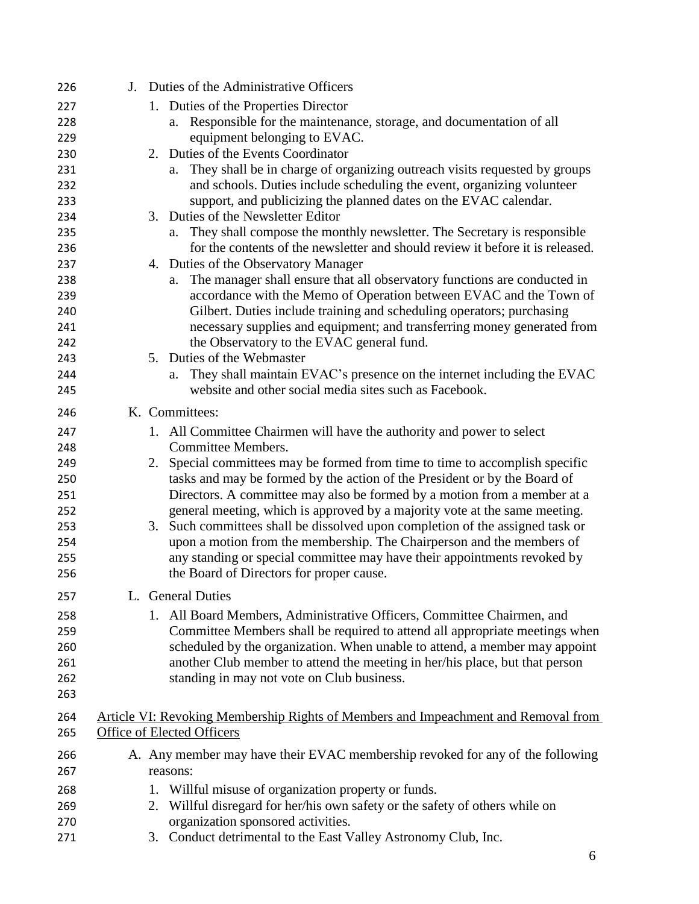| 226 | J. Duties of the Administrative Officers                                           |
|-----|------------------------------------------------------------------------------------|
| 227 | 1. Duties of the Properties Director                                               |
| 228 | a. Responsible for the maintenance, storage, and documentation of all              |
| 229 | equipment belonging to EVAC.                                                       |
| 230 | 2. Duties of the Events Coordinator                                                |
| 231 | They shall be in charge of organizing outreach visits requested by groups<br>a.    |
| 232 | and schools. Duties include scheduling the event, organizing volunteer             |
| 233 | support, and publicizing the planned dates on the EVAC calendar.                   |
| 234 | 3. Duties of the Newsletter Editor                                                 |
| 235 | They shall compose the monthly newsletter. The Secretary is responsible<br>a.      |
| 236 | for the contents of the newsletter and should review it before it is released.     |
| 237 | 4. Duties of the Observatory Manager                                               |
| 238 | The manager shall ensure that all observatory functions are conducted in<br>a.     |
| 239 | accordance with the Memo of Operation between EVAC and the Town of                 |
| 240 | Gilbert. Duties include training and scheduling operators; purchasing              |
| 241 | necessary supplies and equipment; and transferring money generated from            |
| 242 | the Observatory to the EVAC general fund.                                          |
| 243 | 5. Duties of the Webmaster                                                         |
| 244 | They shall maintain EVAC's presence on the internet including the EVAC<br>a.       |
| 245 | website and other social media sites such as Facebook.                             |
| 246 | K. Committees:                                                                     |
| 247 | 1. All Committee Chairmen will have the authority and power to select              |
| 248 | Committee Members.                                                                 |
| 249 | 2. Special committees may be formed from time to time to accomplish specific       |
| 250 | tasks and may be formed by the action of the President or by the Board of          |
| 251 | Directors. A committee may also be formed by a motion from a member at a           |
| 252 | general meeting, which is approved by a majority vote at the same meeting.         |
| 253 | 3. Such committees shall be dissolved upon completion of the assigned task or      |
| 254 | upon a motion from the membership. The Chairperson and the members of              |
| 255 | any standing or special committee may have their appointments revoked by           |
| 256 | the Board of Directors for proper cause.                                           |
| 257 | L. General Duties                                                                  |
| 258 | All Board Members, Administrative Officers, Committee Chairmen, and<br>1.          |
| 259 | Committee Members shall be required to attend all appropriate meetings when        |
| 260 | scheduled by the organization. When unable to attend, a member may appoint         |
|     | another Club member to attend the meeting in her/his place, but that person        |
| 261 |                                                                                    |
| 262 | standing in may not vote on Club business.                                         |
| 263 |                                                                                    |
| 264 | Article VI: Revoking Membership Rights of Members and Impeachment and Removal from |
| 265 | Office of Elected Officers                                                         |
| 266 | A. Any member may have their EVAC membership revoked for any of the following      |
| 267 | reasons:                                                                           |
| 268 | Willful misuse of organization property or funds.<br>1.                            |
| 269 | Willful disregard for her/his own safety or the safety of others while on<br>2.    |
| 270 | organization sponsored activities.                                                 |
| 271 | 3. Conduct detrimental to the East Valley Astronomy Club, Inc.                     |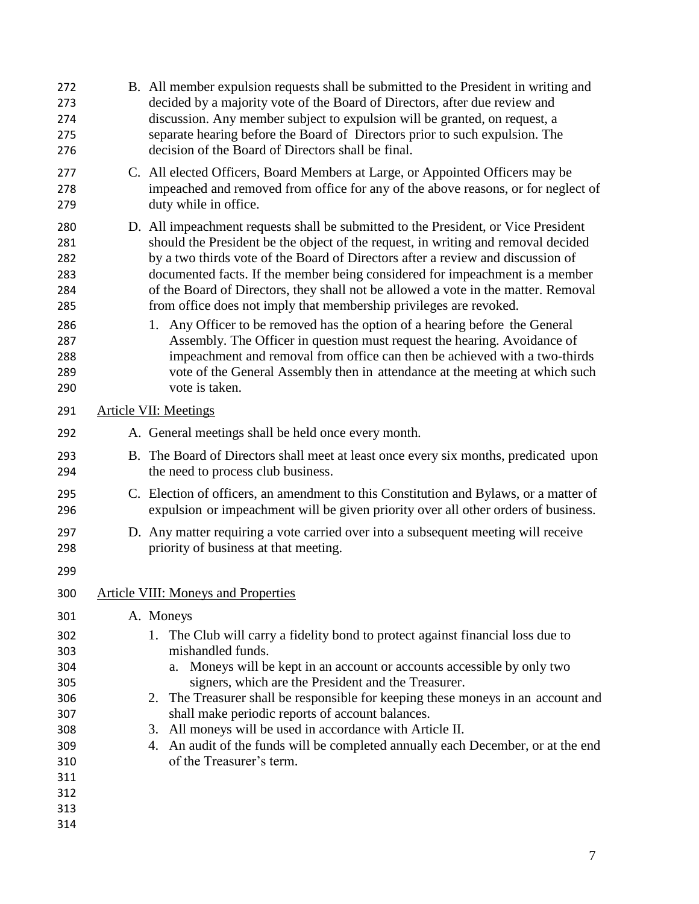| 272<br>273<br>274<br>275<br>276                                           |                              | B. All member expulsion requests shall be submitted to the President in writing and<br>decided by a majority vote of the Board of Directors, after due review and<br>discussion. Any member subject to expulsion will be granted, on request, a<br>separate hearing before the Board of Directors prior to such expulsion. The<br>decision of the Board of Directors shall be final.                                                                                                                                                                                                                                                                                                                                                                                                                                                              |  |
|---------------------------------------------------------------------------|------------------------------|---------------------------------------------------------------------------------------------------------------------------------------------------------------------------------------------------------------------------------------------------------------------------------------------------------------------------------------------------------------------------------------------------------------------------------------------------------------------------------------------------------------------------------------------------------------------------------------------------------------------------------------------------------------------------------------------------------------------------------------------------------------------------------------------------------------------------------------------------|--|
| 277<br>278<br>279                                                         |                              | C. All elected Officers, Board Members at Large, or Appointed Officers may be<br>impeached and removed from office for any of the above reasons, or for neglect of<br>duty while in office.                                                                                                                                                                                                                                                                                                                                                                                                                                                                                                                                                                                                                                                       |  |
| 280<br>281<br>282<br>283<br>284<br>285<br>286<br>287<br>288<br>289<br>290 |                              | D. All impeachment requests shall be submitted to the President, or Vice President<br>should the President be the object of the request, in writing and removal decided<br>by a two thirds vote of the Board of Directors after a review and discussion of<br>documented facts. If the member being considered for impeachment is a member<br>of the Board of Directors, they shall not be allowed a vote in the matter. Removal<br>from office does not imply that membership privileges are revoked.<br>1. Any Officer to be removed has the option of a hearing before the General<br>Assembly. The Officer in question must request the hearing. Avoidance of<br>impeachment and removal from office can then be achieved with a two-thirds<br>vote of the General Assembly then in attendance at the meeting at which such<br>vote is taken. |  |
| 291                                                                       | <b>Article VII: Meetings</b> |                                                                                                                                                                                                                                                                                                                                                                                                                                                                                                                                                                                                                                                                                                                                                                                                                                                   |  |
| 292                                                                       |                              | A. General meetings shall be held once every month.                                                                                                                                                                                                                                                                                                                                                                                                                                                                                                                                                                                                                                                                                                                                                                                               |  |
| 293<br>294                                                                |                              | B. The Board of Directors shall meet at least once every six months, predicated upon<br>the need to process club business.                                                                                                                                                                                                                                                                                                                                                                                                                                                                                                                                                                                                                                                                                                                        |  |
| 295<br>296                                                                |                              | C. Election of officers, an amendment to this Constitution and Bylaws, or a matter of<br>expulsion or impeachment will be given priority over all other orders of business.                                                                                                                                                                                                                                                                                                                                                                                                                                                                                                                                                                                                                                                                       |  |
| 297<br>298                                                                |                              | D. Any matter requiring a vote carried over into a subsequent meeting will receive<br>priority of business at that meeting.                                                                                                                                                                                                                                                                                                                                                                                                                                                                                                                                                                                                                                                                                                                       |  |
| 299                                                                       |                              |                                                                                                                                                                                                                                                                                                                                                                                                                                                                                                                                                                                                                                                                                                                                                                                                                                                   |  |
| 300                                                                       |                              | <b>Article VIII: Moneys and Properties</b>                                                                                                                                                                                                                                                                                                                                                                                                                                                                                                                                                                                                                                                                                                                                                                                                        |  |
| 301                                                                       |                              | A. Moneys                                                                                                                                                                                                                                                                                                                                                                                                                                                                                                                                                                                                                                                                                                                                                                                                                                         |  |
| 302<br>303<br>304                                                         |                              | 1. The Club will carry a fidelity bond to protect against financial loss due to<br>mishandled funds.<br>Moneys will be kept in an account or accounts accessible by only two<br>a.                                                                                                                                                                                                                                                                                                                                                                                                                                                                                                                                                                                                                                                                |  |
| 305                                                                       |                              | signers, which are the President and the Treasurer.                                                                                                                                                                                                                                                                                                                                                                                                                                                                                                                                                                                                                                                                                                                                                                                               |  |
| 306                                                                       |                              | The Treasurer shall be responsible for keeping these moneys in an account and<br>2.                                                                                                                                                                                                                                                                                                                                                                                                                                                                                                                                                                                                                                                                                                                                                               |  |
| 307<br>308                                                                |                              | shall make periodic reports of account balances.<br>3. All moneys will be used in accordance with Article II.                                                                                                                                                                                                                                                                                                                                                                                                                                                                                                                                                                                                                                                                                                                                     |  |
| 309                                                                       |                              | 4. An audit of the funds will be completed annually each December, or at the end                                                                                                                                                                                                                                                                                                                                                                                                                                                                                                                                                                                                                                                                                                                                                                  |  |
| 310                                                                       |                              | of the Treasurer's term.                                                                                                                                                                                                                                                                                                                                                                                                                                                                                                                                                                                                                                                                                                                                                                                                                          |  |
| 311                                                                       |                              |                                                                                                                                                                                                                                                                                                                                                                                                                                                                                                                                                                                                                                                                                                                                                                                                                                                   |  |
| 312                                                                       |                              |                                                                                                                                                                                                                                                                                                                                                                                                                                                                                                                                                                                                                                                                                                                                                                                                                                                   |  |
| 313                                                                       |                              |                                                                                                                                                                                                                                                                                                                                                                                                                                                                                                                                                                                                                                                                                                                                                                                                                                                   |  |
| 314                                                                       |                              |                                                                                                                                                                                                                                                                                                                                                                                                                                                                                                                                                                                                                                                                                                                                                                                                                                                   |  |